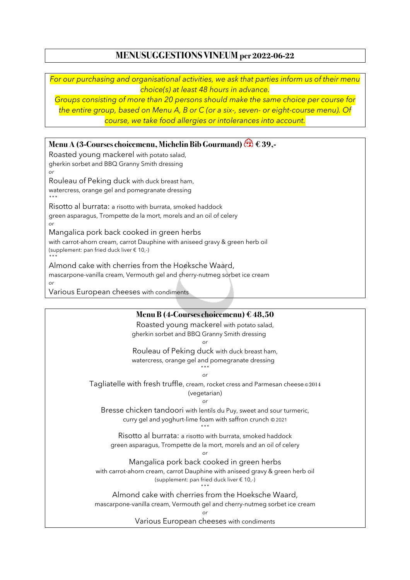## **MENUSUGGESTIONS VINEUM per 2022-06-22**

*For our purchasing and organisational activities, we ask that parties inform us of their menu choice(s) at least 48 hours in advance.*

*Groups consisting of more than 20 persons should make the same choice per course for the entire group, based on Menu A, B or C (or a six-, seven- or eight-course menu). Of course, we take food allergies or intolerances into account.*

**Menu A (3-Courses choicemenu, Michelin Bib Gourmand) €39,-**

Roasted young mackerel with potato salad, gherkin sorbet and BBQ Granny Smith dressing *or*

Rouleau of Peking duck with duck breast ham,

watercress, orange gel and pomegranate dressing \*\*\*

Risotto al burrata: a risotto with burrata, smoked haddock

green asparagus, Trompette de la mort, morels and an oil of celery *or*

Mangalica pork back cooked in green herbs

with carrot-ahorn cream, carrot Dauphine with aniseed gravy & green herb oil (supplement: pan fried duck liver € 10,-)

\*\*\*

Almond cake with cherries from the Hoeksche Waard, mascarpone-vanilla cream, Vermouth gel and cherry-nutmeg sorbet ice cream

*or*

Various European cheeses with condiments